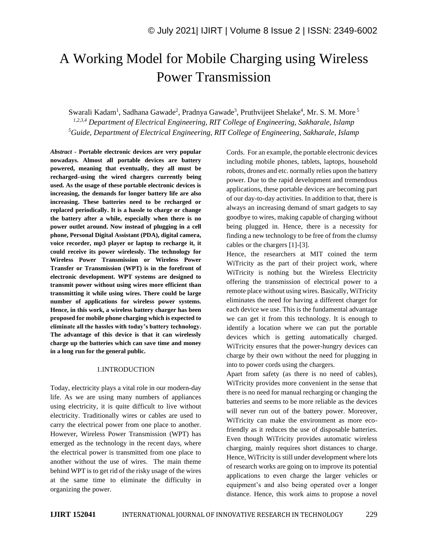# A Working Model for Mobile Charging using Wireless Power Transmission

Swarali Kadam<sup>1</sup>, Sadhana Gawade<sup>2</sup>, Pradnya Gawade<sup>3</sup>, Pruthvijeet Shelake<sup>4</sup>, Mr. S. M. More<sup>5</sup> *1,2,3,4 Department of Electrical Engineering, RIT College of Engineering, Sakharale, Islamp <sup>5</sup>Guide, Department of Electrical Engineering, RIT College of Engineering, Sakharale, Islamp*

*Abstract -* **Portable electronic devices are very popular nowadays. Almost all portable devices are battery powered, meaning that eventually, they all must be recharged–using the wired chargers currently being used. As the usage of these portable electronic devices is increasing, the demands for longer battery life are also increasing. These batteries need to be recharged or replaced periodically. It is a hassle to charge or change the battery after a while, especially when there is no power outlet around. Now instead of plugging in a cell phone, Personal Digital Assistant (PDA), digital camera, voice recorder, mp3 player or laptop to recharge it, it could receive its power wirelessly. The technology for Wireless Power Transmission or Wireless Power Transfer or Transmission (WPT) is in the forefront of electronic development. WPT systems are designed to transmit power without using wires more efficient than transmitting it while using wires. There could be large number of applications for wireless power systems. Hence, in this work, a wireless battery charger has been proposed for mobile phone charging which is expected to eliminate all the hassles with today's battery technology. The advantage of this device is that it can wirelessly charge up the batteries which can save time and money in a long run for the general public.**

## 1.INTRODUCTION

Today, electricity plays a vital role in our modern-day life. As we are using many numbers of appliances using electricity, it is quite difficult to live without electricity. Traditionally wires or cables are used to carry the electrical power from one place to another. However, Wireless Power Transmission (WPT) has emerged as the technology in the recent days, where the electrical power is transmitted from one place to another without the use of wires. The main theme behind WPT is to get rid of the risky usage of the wires at the same time to eliminate the difficulty in organizing the power.

Cords. For an example, the portable electronic devices including mobile phones, tablets, laptops, household robots, drones and etc. normally relies upon the battery power. Due to the rapid development and tremendous applications, these portable devices are becoming part of our day-to-day activities. In addition to that, there is always an increasing demand of smart gadgets to say goodbye to wires, making capable of charging without being plugged in. Hence, there is a necessity for finding a new technology to be free of from the clumsy cables or the chargers [1]-[3].

Hence, the researchers at MIT coined the term WiTricity as the part of their project work, where WiTricity is nothing but the Wireless Electricity offering the transmission of electrical power to a remote place without using wires. Basically, WiTricity eliminates the need for having a different charger for each device we use. This is the fundamental advantage we can get it from this technology. It is enough to identify a location where we can put the portable devices which is getting automatically charged. WiTricity ensures that the power-hungry devices can charge by their own without the need for plugging in into to power cords using the chargers.

Apart from safety (as there is no need of cables), WiTricity provides more convenient in the sense that there is no need for manual recharging or changing the batteries and seems to be more reliable as the devices will never run out of the battery power. Moreover, WiTricity can make the environment as more ecofriendly as it reduces the use of disposable batteries. Even though WiTricity provides automatic wireless charging, mainly requires short distances to charge. Hence, WiTricity is still under development where lots of research works are going on to improve its potential applications to even charge the larger vehicles or equipment's and also being operated over a longer distance. Hence, this work aims to propose a novel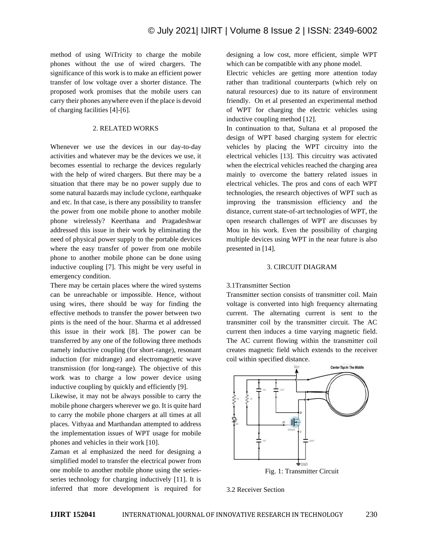method of using WiTricity to charge the mobile phones without the use of wired chargers. The significance of this work is to make an efficient power transfer of low voltage over a shorter distance. The proposed work promises that the mobile users can carry their phones anywhere even if the place is devoid of charging facilities [4]-[6].

## 2. RELATED WORKS

Whenever we use the devices in our day-to-day activities and whatever may be the devices we use, it becomes essential to recharge the devices regularly with the help of wired chargers. But there may be a situation that there may be no power supply due to some natural hazards may include cyclone, earthquake and etc. In that case, is there any possibility to transfer the power from one mobile phone to another mobile phone wirelessly? Keerthana and Pragadeshwar addressed this issue in their work by eliminating the need of physical power supply to the portable devices where the easy transfer of power from one mobile phone to another mobile phone can be done using inductive coupling [7]. This might be very useful in emergency condition.

There may be certain places where the wired systems can be unreachable or impossible. Hence, without using wires, there should be way for finding the effective methods to transfer the power between two pints is the need of the hour. Sharma et al addressed this issue in their work [8]. The power can be transferred by any one of the following three methods namely inductive coupling (for short-range), resonant induction (for midrange) and electromagnetic wave transmission (for long-range). The objective of this work was to charge a low power device using inductive coupling by quickly and efficiently [9].

Likewise, it may not be always possible to carry the mobile phone chargers wherever we go. It is quite hard to carry the mobile phone chargers at all times at all places. Vithyaa and Marthandan attempted to address the implementation issues of WPT usage for mobile phones and vehicles in their work [10].

Zaman et al emphasized the need for designing a simplified model to transfer the electrical power from one mobile to another mobile phone using the seriesseries technology for charging inductively [11]. It is inferred that more development is required for designing a low cost, more efficient, simple WPT which can be compatible with any phone model.

Electric vehicles are getting more attention today rather than traditional counterparts (which rely on natural resources) due to its nature of environment friendly. On et al presented an experimental method of WPT for charging the electric vehicles using inductive coupling method [12].

In continuation to that, Sultana et al proposed the design of WPT based charging system for electric vehicles by placing the WPT circuitry into the electrical vehicles [13]. This circuitry was activated when the electrical vehicles reached the charging area mainly to overcome the battery related issues in electrical vehicles. The pros and cons of each WPT technologies, the research objectives of WPT such as improving the transmission efficiency and the distance, current state-of-art technologies of WPT, the open research challenges of WPT are discusses by Mou in his work. Even the possibility of charging multiple devices using WPT in the near future is also presented in [14].

#### 3. CIRCUIT DIAGRAM

## 3.1Transmitter Section

Transmitter section consists of transmitter coil. Main voltage is converted into high frequency alternating current. The alternating current is sent to the transmitter coil by the transmitter circuit. The AC current then induces a time varying magnetic field. The AC current flowing within the transmitter coil creates magnetic field which extends to the receiver coil within specified distance.



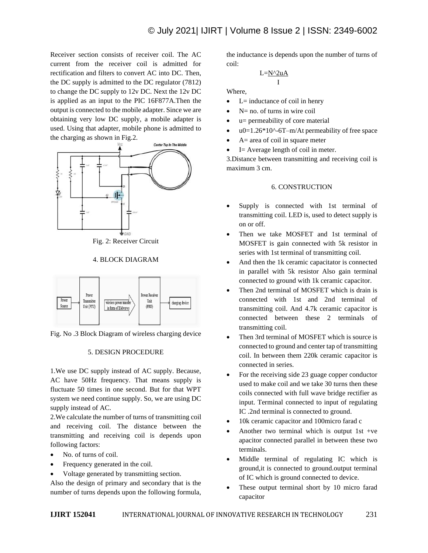Receiver section consists of receiver coil. The AC current from the receiver coil is admitted for rectification and filters to convert AC into DC. Then, the DC supply is admitted to the DC regulator (7812) to change the DC supply to 12v DC. Next the 12v DC is applied as an input to the PIC 16F877A.Then the output is connected to the mobile adapter. Since we are obtaining very low DC supply, a mobile adapter is used. Using that adapter, mobile phone is admitted to the charging as shown in Fig.2.



Fig. 2: Receiver Circuit

## 4. BLOCK DIAGRAM



Fig. No .3 Block Diagram of wireless charging device

#### 5. DESIGN PROCEDURE

1.We use DC supply instead of AC supply. Because, AC have 50Hz frequency. That means supply is fluctuate 50 times in one second. But for that WPT system we need continue supply. So, we are using DC supply instead of AC.

2.We calculate the number of turns of transmitting coil and receiving coil. The distance between the transmitting and receiving coil is depends upon following factors:

- No. of turns of coil.
- Frequency generated in the coil.
- Voltage generated by transmitting section.

Also the design of primary and secondary that is the number of turns depends upon the following formula, the inductance is depends upon the number of turns of coil:

$$
\frac{L=N^{\wedge}2uA}{I}
$$

Where,

- $\bullet$  L= inductance of coil in henry
- $N=$  no. of turns in wire coil
- u= permeability of core material
- $u0=1.26*10^{\circ}$ -6T–m/At permeability of free space
- $A =$  area of coil in square meter
- I= Average length of coil in meter.

3.Distance between transmitting and receiving coil is maximum 3 cm.

### 6. CONSTRUCTION

- Supply is connected with 1st terminal of transmitting coil. LED is, used to detect supply is on or off.
- Then we take MOSFET and 1st terminal of MOSFET is gain connected with 5k resistor in series with 1st terminal of transmitting coil.
- And then the 1k ceramic capacitator is connected in parallel with 5k resistor Also gain terminal connected to ground with 1k ceramic capacitor.
- Then 2nd terminal of MOSFET which is drain is connected with 1st and 2nd terminal of transmitting coil. And 4.7k ceramic capacitor is connected between these 2 terminals of transmitting coil.
- Then 3rd terminal of MOSFET which is source is connected to ground and center tap of transmitting coil. In between them 220k ceramic capacitor is connected in series.
- For the receiving side 23 guage copper conductor used to make coil and we take 30 turns then these coils connected with full wave bridge rectifier as input. Terminal connected to input of regulating IC .2nd terminal is connected to ground.
- 10k ceramic capacitor and 100micro farad c
- Another two terminal which is output 1st +ve apacitor connected parallel in between these two terminals.
- Middle terminal of regulating IC which is ground,it is connected to ground.output terminal of IC which is ground connected to device.
- These output terminal short by 10 micro farad capacitor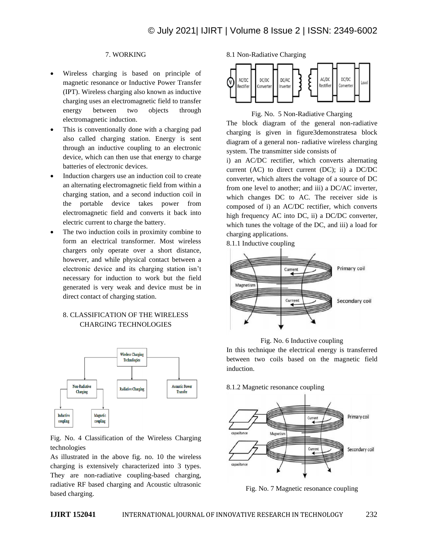# 7. WORKING

- Wireless charging is based on principle of magnetic resonance or Inductive Power Transfer (IPT). Wireless charging also known as inductive charging uses an electromagnetic field to transfer energy between two objects through electromagnetic induction.
- This is conventionally done with a charging pad also called charging station. Energy is sent through an inductive coupling to an electronic device, which can then use that energy to charge batteries of electronic devices.
- Induction chargers use an induction coil to create an alternating electromagnetic field from within a charging station, and a second induction coil in the portable device takes power from electromagnetic field and converts it back into electric current to charge the battery.
- The two induction coils in proximity combine to form an electrical transformer. Most wireless chargers only operate over a short distance, however, and while physical contact between a electronic device and its charging station isn't necessary for induction to work but the field generated is very weak and device must be in direct contact of charging station.

## 8. CLASSIFICATION OF THE WIRELESS CHARGING TECHNOLOGIES



Fig. No. 4 Classification of the Wireless Charging technologies

As illustrated in the above fig. no. 10 the wireless charging is extensively characterized into 3 types. They are non-radiative coupling-based charging, radiative RF based charging and Acoustic ultrasonic based charging.

8.1 Non-Radiative Charging



## Fig. No. 5 Non-Radiative Charging

The block diagram of the general non-radiative charging is given in figure3demonstratesa block diagram of a general non- radiative wireless charging system. The transmitter side consists of

i) an AC/DC rectifier, which converts alternating current (AC) to direct current (DC); ii) a DC/DC converter, which alters the voltage of a source of DC from one level to another; and iii) a DC/AC inverter, which changes DC to AC. The receiver side is composed of i) an AC/DC rectifier, which converts high frequency AC into DC, ii) a DC/DC converter, which tunes the voltage of the DC, and iii) a load for charging applications.

8.1.1 Inductive coupling





In this technique the electrical energy is transferred between two coils based on the magnetic field induction.

8.1.2 Magnetic resonance coupling



Fig. No. 7 Magnetic resonance coupling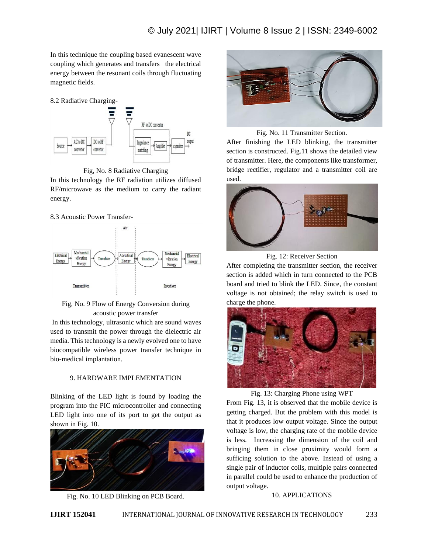In this technique the coupling based evanescent wave coupling which generates and transfers the electrical energy between the resonant coils through fluctuating magnetic fields.

8.2 Radiative Charging-



Fig, No. 8 Radiative Charging

In this technology the RF radiation utilizes diffused RF/microwave as the medium to carry the radiant energy.

## 8.3 Acoustic Power Transfer-





In this technology, ultrasonic which are sound waves used to transmit the power through the dielectric air media. This technology is a newly evolved one to have biocompatible wireless power transfer technique in bio-medical implantation.

# 9. HARDWARE IMPLEMENTATION

Blinking of the LED light is found by loading the program into the PIC microcontroller and connecting LED light into one of its port to get the output as shown in Fig. 10.



Fig. No. 10 LED Blinking on PCB Board.



Fig. No. 11 Transmitter Section.

After finishing the LED blinking, the transmitter section is constructed. Fig.11 shows the detailed view of transmitter. Here, the components like transformer, bridge rectifier, regulator and a transmitter coil are used.



Fig. 12: Receiver Section

After completing the transmitter section, the receiver section is added which in turn connected to the PCB board and tried to blink the LED. Since, the constant voltage is not obtained; the relay switch is used to charge the phone.



Fig. 13: Charging Phone using WPT

From Fig. 13, it is observed that the mobile device is getting charged. But the problem with this model is that it produces low output voltage. Since the output voltage is low, the charging rate of the mobile device is less. Increasing the dimension of the coil and bringing them in close proximity would form a sufficing solution to the above. Instead of using a single pair of inductor coils, multiple pairs connected in parallel could be used to enhance the production of output voltage.

## 10. APPLICATIONS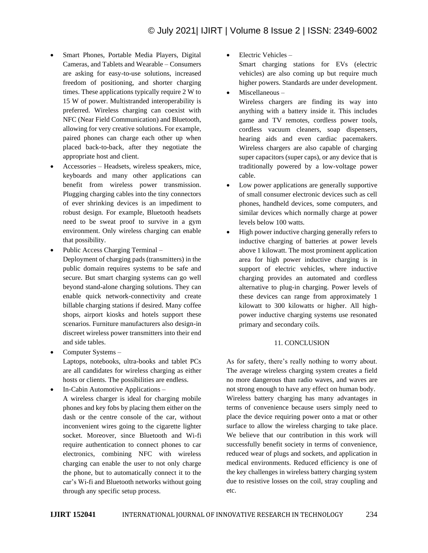- Smart Phones, Portable Media Players, Digital Cameras, and Tablets and Wearable – Consumers are asking for easy-to-use solutions, increased freedom of positioning, and shorter charging times. These applications typically require 2 W to 15 W of power. Multistranded interoperability is preferred. Wireless charging can coexist with NFC (Near Field Communication) and Bluetooth, allowing for very creative solutions. For example, paired phones can charge each other up when placed back-to-back, after they negotiate the appropriate host and client.
- Accessories Headsets, wireless speakers, mice, keyboards and many other applications can benefit from wireless power transmission. Plugging charging cables into the tiny connectors of ever shrinking devices is an impediment to robust design. For example, Bluetooth headsets need to be sweat proof to survive in a gym environment. Only wireless charging can enable that possibility.
- Public Access Charging Terminal –

Deployment of charging pads (transmitters) in the public domain requires systems to be safe and secure. But smart charging systems can go well beyond stand-alone charging solutions. They can enable quick network-connectivity and create billable charging stations if desired. Many coffee shops, airport kiosks and hotels support these scenarios. Furniture manufacturers also design-in discreet wireless power transmitters into their end and side tables.

• Computer Systems –

Laptops, notebooks, ultra-books and tablet PCs are all candidates for wireless charging as either hosts or clients. The possibilities are endless.

• In-Cabin Automotive Applications –

A wireless charger is ideal for charging mobile phones and key fobs by placing them either on the dash or the centre console of the car, without inconvenient wires going to the cigarette lighter socket. Moreover, since Bluetooth and Wi-fi require authentication to connect phones to car electronics, combining NFC with wireless charging can enable the user to not only charge the phone, but to automatically connect it to the car's Wi-fi and Bluetooth networks without going through any specific setup process.

• Electric Vehicles – Smart charging stations for EVs (electric vehicles) are also coming up but require much higher powers. Standards are under development.

• Miscellaneous –

Wireless chargers are finding its way into anything with a battery inside it. This includes game and TV remotes, cordless power tools, cordless vacuum cleaners, soap dispensers, hearing aids and even cardiac pacemakers. Wireless chargers are also capable of charging super capacitors (super caps), or any device that is traditionally powered by a low-voltage power cable.

- Low power applications are generally supportive of small consumer electronic devices such as cell phones, handheld devices, some computers, and similar devices which normally charge at power levels below 100 watts.
- High power inductive charging generally refers to inductive charging of batteries at power levels above 1 kilowatt. The most prominent application area for high power inductive charging is in support of electric vehicles, where inductive charging provides an automated and cordless alternative to plug-in charging. Power levels of these devices can range from approximately 1 kilowatt to 300 kilowatts or higher. All highpower inductive charging systems use resonated primary and secondary coils.

# 11. CONCLUSION

As for safety, there's really nothing to worry about. The average wireless charging system creates a field no more dangerous than radio waves, and waves are not strong enough to have any effect on human body. Wireless battery charging has many advantages in terms of convenience because users simply need to place the device requiring power onto a mat or other surface to allow the wireless charging to take place. We believe that our contribution in this work will successfully benefit society in terms of convenience, reduced wear of plugs and sockets, and application in medical environments. Reduced efficiency is one of the key challenges in wireless battery charging system due to resistive losses on the coil, stray coupling and etc.